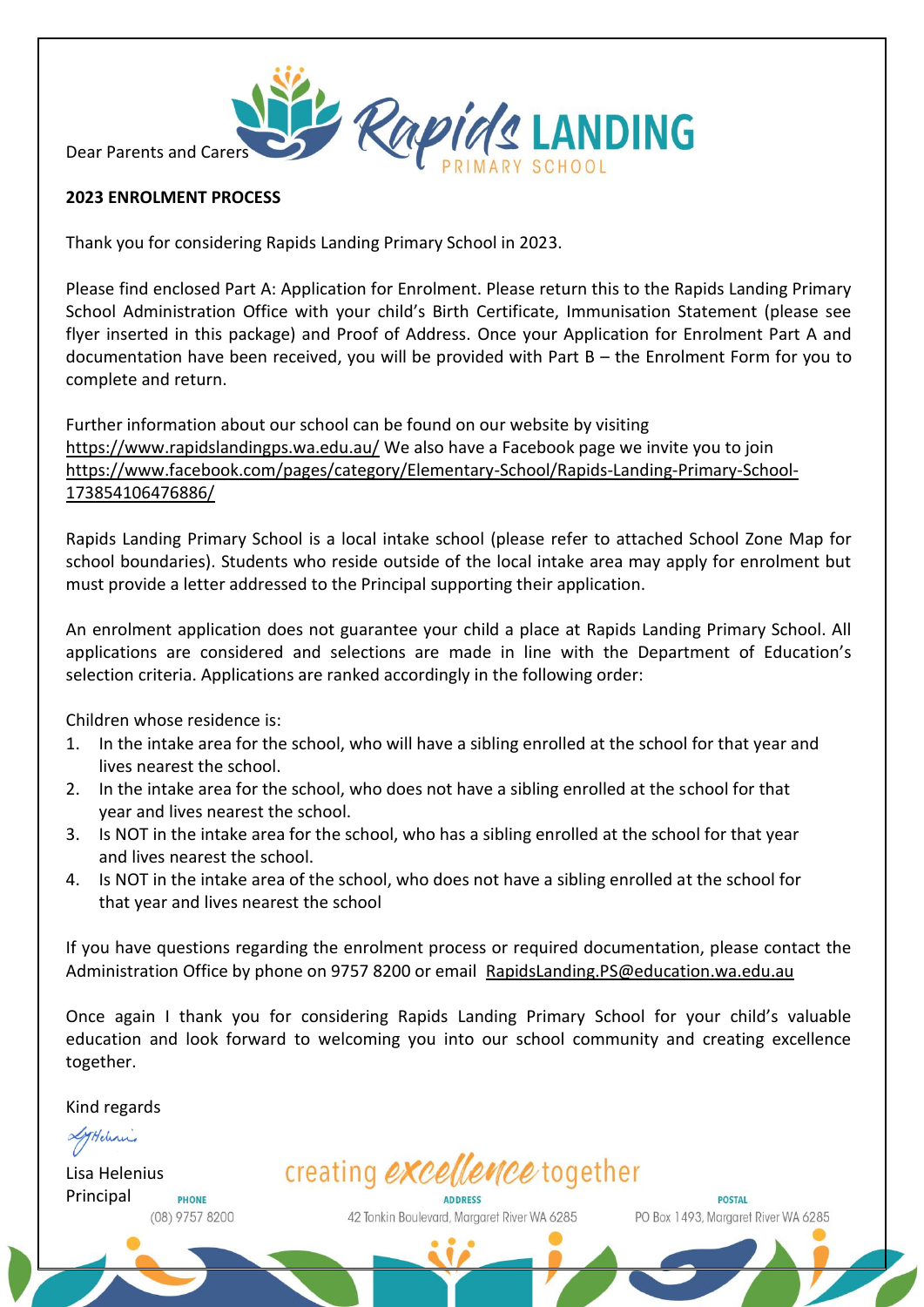Dear Parents and Carers

# **2023 ENROLMENT PROCESS**

Thank you for considering Rapids Landing Primary School in 2023.

Please find enclosed Part A: Application for Enrolment. Please return this to the Rapids Landing Primary School Administration Office with your child's Birth Certificate, Immunisation Statement (please see flyer inserted in this package) and Proof of Address. Once your Application for Enrolment Part A and documentation have been received, you will be provided with Part B – the Enrolment Form for you to complete and return.

Rapids LANDING

Further information about our school can be found on our website by visiting <https://www.rapidslandingps.wa.edu.au/> We also have a Facebook page we invite you to join [https://www.facebook.com/pages/category/Elementary-School/Rapids-Landing-Primary-School-](https://www.facebook.com/pages/category/Elementary-School/Rapids-Landing-Primary-School-173854106476886/)[173854106476886/](https://www.facebook.com/pages/category/Elementary-School/Rapids-Landing-Primary-School-173854106476886/)

Rapids Landing Primary School is a local intake school (please refer to attached School Zone Map for school boundaries). Students who reside outside of the local intake area may apply for enrolment but must provide a letter addressed to the Principal supporting their application.

An enrolment application does not guarantee your child a place at Rapids Landing Primary School. All applications are considered and selections are made in line with the Department of Education's selection criteria. Applications are ranked accordingly in the following order:

Children whose residence is:

- 1. In the intake area for the school, who will have a sibling enrolled at the school for that year and lives nearest the school.
- 2. In the intake area for the school, who does not have a sibling enrolled at the school for that year and lives nearest the school.
- 3. Is NOT in the intake area for the school, who has a sibling enrolled at the school for that year and lives nearest the school.
- 4. Is NOT in the intake area of the school, who does not have a sibling enrolled at the school for that year and lives nearest the school

If you have questions regarding the enrolment process or required documentation, please contact the Administration Office by phone on 9757 8200 or email [RapidsLanding.PS@education.wa.edu.au](mailto:RapidsLanding.PS@education.wa.edu.au)

Once again I thank you for considering Rapids Landing Primary School for your child's valuable education and look forward to welcoming you into our school community and creating excellence together.

Kind regards

LyHelenis

Lisa Helenius PrincipalPHONE (08) 9757 8200 creating excellence together

42 Tonkin Boulevard, Margaret River WA 6285

**POSTAL** PO Box 1493. Margaret River WA 6285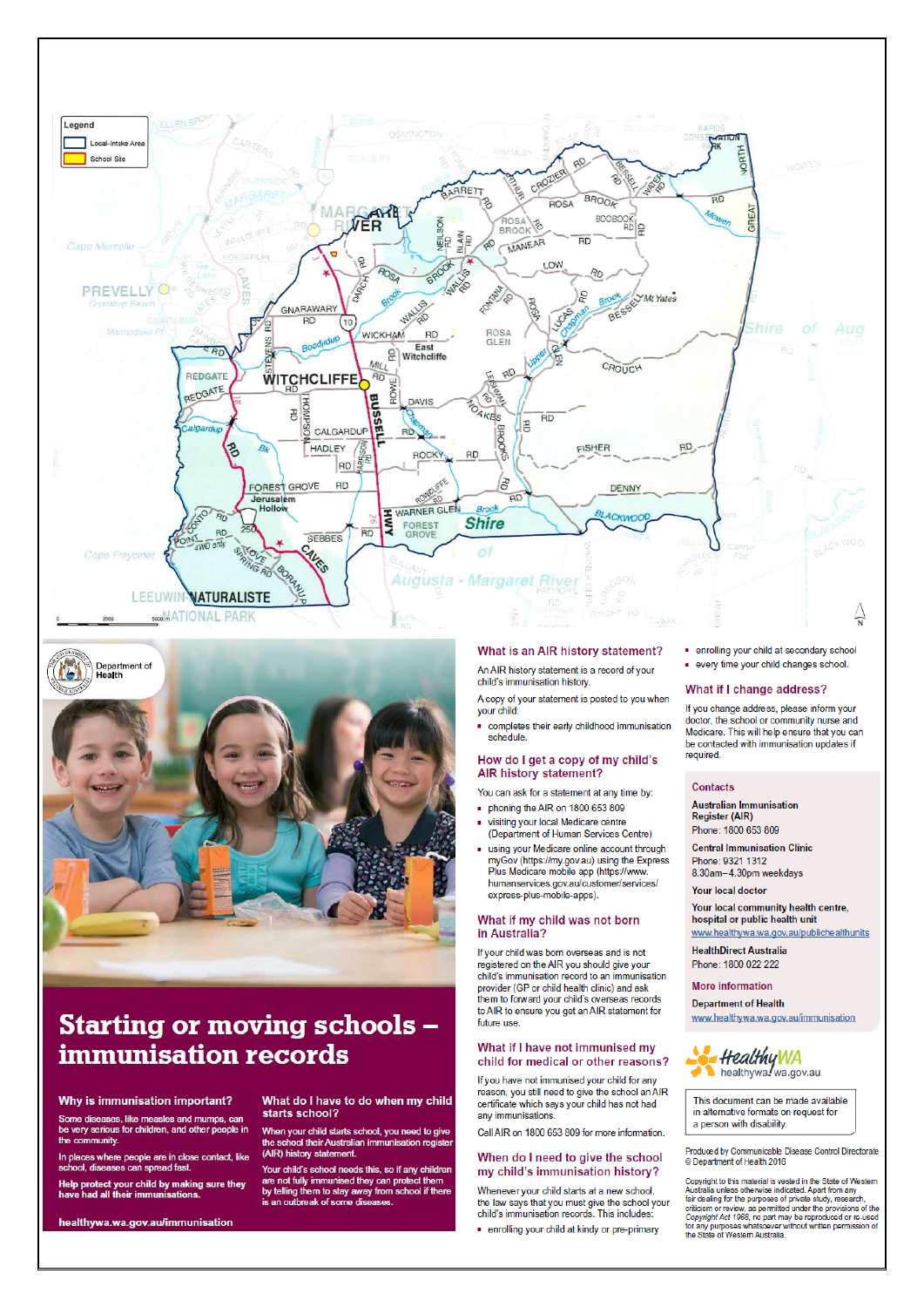



# **Starting or moving schools** immunisation records

What do I have to do when my child

When your child starts school, you need to give<br>the school their Australian immunisation registe

Your child's school needs this, so if any children<br>are not fully immunised they can protect them

For a motion inserts they are not fully immunised they can protect them<br>they telling them to stay away from school if there<br>is an outbreak of some diseases.

starts school?

(AIR) history statement.

#### Why is immunisation important?

ases, like measles and mumps, can<br>rious for children, and other people in the munity

In places where people are in close contact, like<br>school, diseases can spread fast.

Help protect your child by making sure they<br>have had all their immunisations.

healthywa.wa.gov.au/immunisation

#### What is an AIR history statement?

An AIR history statement is a record of your child's immunisation history.

A copy of your statement is posted to you when vour child:

. completes their early childhood immunisation schedule.

#### How do I get a copy of my child's AIR history statement?

You can ask for a statement at any time by:

- phoning the AIR on 1800 653 809 visiting your local Medicare centre
- (Department of Human Services Centre) using your Medicare online account through
- myGov (https://my.gov.au) using the Express Plus Medicare mobile app (https://www. humanservices.gov.au/customer/services/ express-plus-mobile-apps).

#### What if my child was not born in Australia?

If your child was born overseas and is not registered on the AIR you should give your child's immunisation record to an immunisation provider (GP or child health clinic) and ask<br>them to forward your child's overseas records to AIR to ensure you get an AIR statement for future use.

#### What if I have not immunised my child for medical or other reasons?

If you have not immunised your child for any reason, you still need to give the school an AIR certificate which says your child has not had any immunisations.

Call AIR on 1800 653 809 for more information.

#### When do I need to give the school my child's immunisation history?

Whenever your child starts at a new school, the law says that you must give the school your child's immunisation records. This includes:

. enrolling your child at secondary school every time your child changes school.

#### What if I change address?

If you change address, please inform your doctor, the school or community nurse and Medicare. This will help ensure that you can be contacted with immunisation updates if required.

#### Contacts

**Australian Immunisation** Register (AIR) Phone: 1800 653 809

**Central Immunisation Clinic** Phone: 9321 1312

8.30am-4.30pm weekdays **Your local doctor** 

Your local community health centre, hospital or public health unit www.healthywa.wa.gov.au/publichealthunits

**HealthDirect Australia** 

Phone: 1800 022 222

#### **More information**

**Department of Health** www.healthywa.wa.gov.au/immunisation



This document can be made available in alternative formats on request for a person with disability.

Produced by Communicable Disease Control Directorate © Department of Health 2016

Copyright to this material is vested in the State of Western Supervisor and an experimental control and the study, research, and the purposes of private study, research, criticism or review, as permitted under the provision of the Copyright Act 1968, no part may be reproduced or refor any purposes whatsoever without written permission of<br>the State of Western Australia.

. enrolling your child at kindy or pre-primary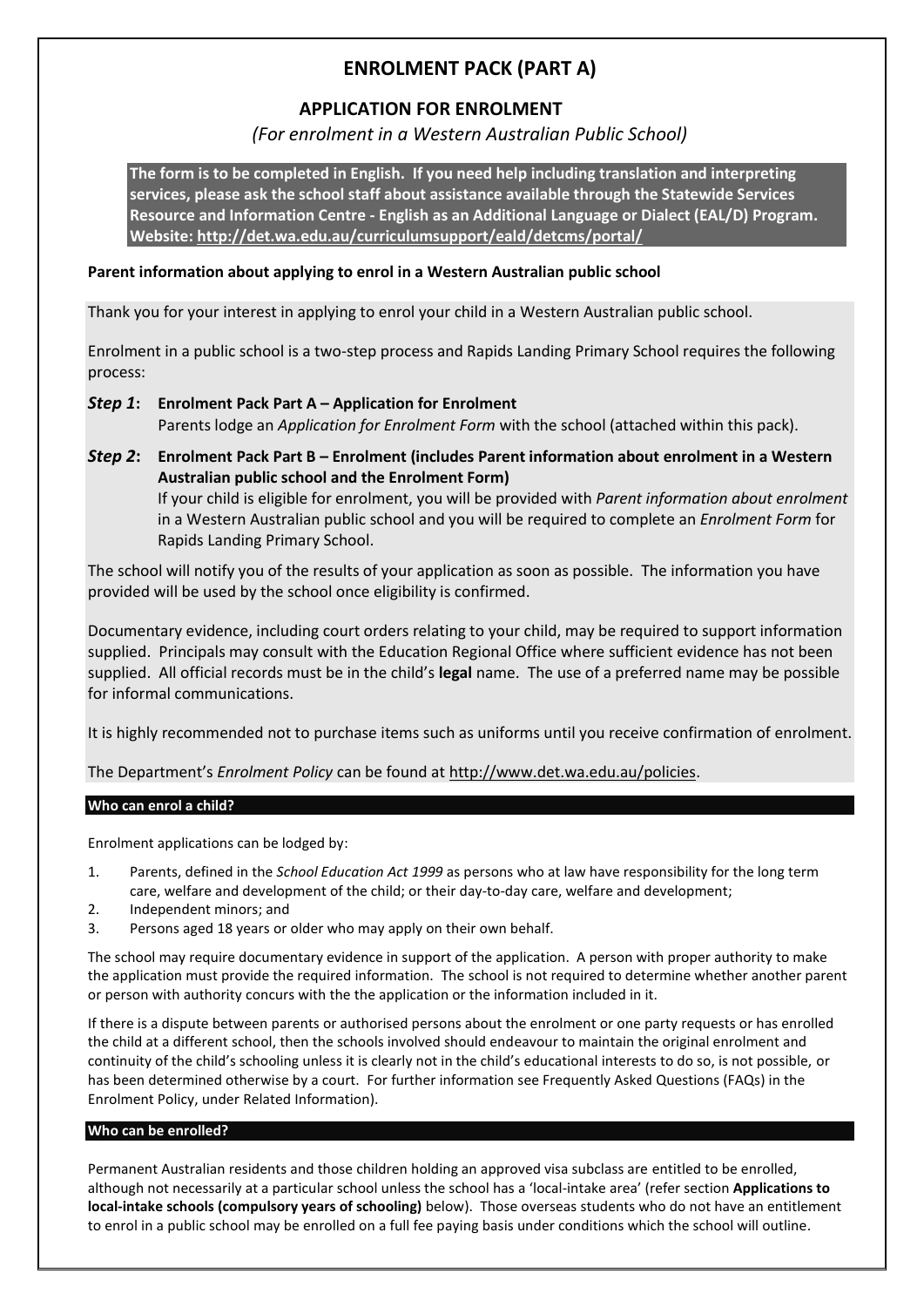# **ENROLMENT PACK (PART A)**

# **APPLICATION FOR ENROLMENT**

# *(For enrolment in a Western Australian Public School)*

**The form is to be completed in English. If you need help including translation and interpreting services, please ask the school staff about assistance available through the Statewide Services Resource and Information Centre - English as an Additional Language or Dialect (EAL/D) Program. Website:<http://det.wa.edu.au/curriculumsupport/eald/detcms/portal/>**

# **Parent information about applying to enrol in a Western Australian public school**

Thank you for your interest in applying to enrol your child in a Western Australian public school.

Enrolment in a public school is a two-step process and Rapids Landing Primary School requires the following process:

# *Step 1***: Enrolment Pack Part A – Application for Enrolment** Parents lodge an *Application for Enrolment Form* with the school (attached within this pack).

*Step 2***: Enrolment Pack Part B – Enrolment (includes Parent information about enrolment in a Western Australian public school and the Enrolment Form)** If your child is eligible for enrolment, you will be provided with *Parent information about enrolment* in a Western Australian public school and you will be required to complete an *Enrolment Form* for Rapids Landing Primary School.

The school will notify you of the results of your application as soon as possible. The information you have provided will be used by the school once eligibility is confirmed.

Documentary evidence, including court orders relating to your child, may be required to support information supplied. Principals may consult with the Education Regional Office where sufficient evidence has not been supplied. All official records must be in the child's **legal** name. The use of a preferred name may be possible for informal communications.

It is highly recommended not to purchase items such as uniforms until you receive confirmation of enrolment.

The Department's *Enrolment Policy* can be found at [http://www.det.wa.edu.au/policies.](http://www.det.wa.edu.au/policies)

## **Who can enrol a child?**

Enrolment applications can be lodged by:

- 1. Parents, defined in the *School Education Act 1999* as persons who at law have responsibility for the long term care, welfare and development of the child; or their day-to-day care, welfare and development;
- 2. Independent minors; and
- 3. Persons aged 18 years or older who may apply on their own behalf.

The school may require documentary evidence in support of the application. A person with proper authority to make the application must provide the required information. The school is not required to determine whether another parent or person with authority concurs with the the application or the information included in it.

If there is a dispute between parents or authorised persons about the enrolment or one party requests or has enrolled the child at a different school, then the schools involved should endeavour to maintain the original enrolment and continuity of the child's schooling unless it is clearly not in the child's educational interests to do so, is not possible, or has been determined otherwise by a court. For further information see Frequently Asked Questions (FAQs) in the Enrolment Policy, under Related Information).

## **Who can be enrolled?**

Permanent Australian residents and those children holding an approved visa subclass are entitled to be enrolled, although not necessarily at a particular school unless the school has a 'local-intake area' (refer section **Applications to local-intake schools (compulsory years of schooling)** below). Those overseas students who do not have an entitlement to enrol in a public school may be enrolled on a full fee paying basis under conditions which the school will outline.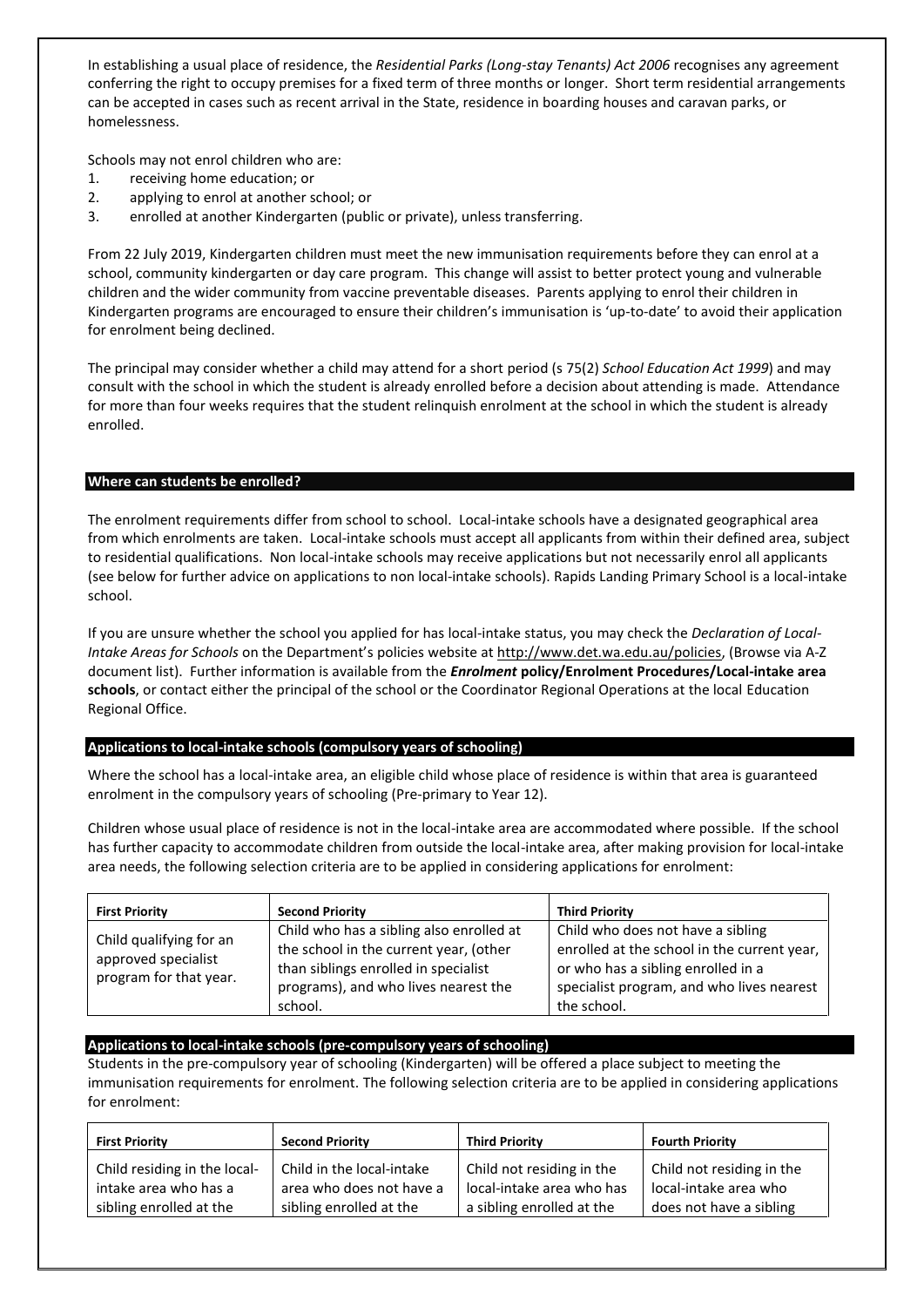In establishing a usual place of residence, the *Residential Parks (Long-stay Tenants) Act 2006* recognises any agreement conferring the right to occupy premises for a fixed term of three months or longer. Short term residential arrangements can be accepted in cases such as recent arrival in the State, residence in boarding houses and caravan parks, or homelessness.

Schools may not enrol children who are:

- 1. receiving home education; or
- 2. applying to enrol at another school; or
- 3. enrolled at another Kindergarten (public or private), unless transferring.

From 22 July 2019, Kindergarten children must meet the new immunisation requirements before they can enrol at a school, community kindergarten or day care program. This change will assist to better protect young and vulnerable children and the wider community from vaccine preventable diseases. Parents applying to enrol their children in Kindergarten programs are encouraged to ensure their children's immunisation is 'up-to-date' to avoid their application for enrolment being declined.

The principal may consider whether a child may attend for a short period (s 75(2) *School Education Act 1999*) and may consult with the school in which the student is already enrolled before a decision about attending is made. Attendance for more than four weeks requires that the student relinquish enrolment at the school in which the student is already enrolled.

## **Where can students be enrolled?**

The enrolment requirements differ from school to school. Local-intake schools have a designated geographical area from which enrolments are taken. Local-intake schools must accept all applicants from within their defined area, subject to residential qualifications. Non local-intake schools may receive applications but not necessarily enrol all applicants (see below for further advice on applications to non local-intake schools). Rapids Landing Primary School is a local-intake school.

If you are unsure whether the school you applied for has local-intake status, you may check the *Declaration of Local-Intake Areas for Schools* on the Department's policies website a[t http://www.det.wa.edu.au/policies,](http://www.det.wa.edu.au/policies) (Browse via A-Z document list). Further information is available from the *Enrolment* **policy/Enrolment Procedures/Local-intake area schools**, or contact either the principal of the school or the Coordinator Regional Operations at the local Education Regional Office.

## **Applications to local-intake schools (compulsory years of schooling)**

Where the school has a local-intake area, an eligible child whose place of residence is within that area is guaranteed enrolment in the compulsory years of schooling (Pre-primary to Year 12).

Children whose usual place of residence is not in the local-intake area are accommodated where possible. If the school has further capacity to accommodate children from outside the local-intake area, after making provision for local-intake area needs, the following selection criteria are to be applied in considering applications for enrolment:

| <b>First Priority</b>                                                    | <b>Second Priority</b>                                                                                                                                                        | <b>Third Priority</b>                                                                                                                                                              |
|--------------------------------------------------------------------------|-------------------------------------------------------------------------------------------------------------------------------------------------------------------------------|------------------------------------------------------------------------------------------------------------------------------------------------------------------------------------|
| Child qualifying for an<br>approved specialist<br>program for that year. | Child who has a sibling also enrolled at<br>the school in the current year, (other<br>than siblings enrolled in specialist<br>programs), and who lives nearest the<br>school. | Child who does not have a sibling<br>enrolled at the school in the current year,<br>or who has a sibling enrolled in a<br>specialist program, and who lives nearest<br>the school. |

## **Applications to local-intake schools (pre-compulsory years of schooling)**

Students in the pre-compulsory year of schooling (Kindergarten) will be offered a place subject to meeting the immunisation requirements for enrolment. The following selection criteria are to be applied in considering applications for enrolment:

| <b>First Priority</b>        | <b>Second Priority</b>    | <b>Third Priority</b>     | <b>Fourth Priority</b>    |
|------------------------------|---------------------------|---------------------------|---------------------------|
| Child residing in the local- | Child in the local-intake | Child not residing in the | Child not residing in the |
| intake area who has a        | area who does not have a  | local-intake area who has | local-intake area who     |
| sibling enrolled at the      | sibling enrolled at the   | a sibling enrolled at the | does not have a sibling   |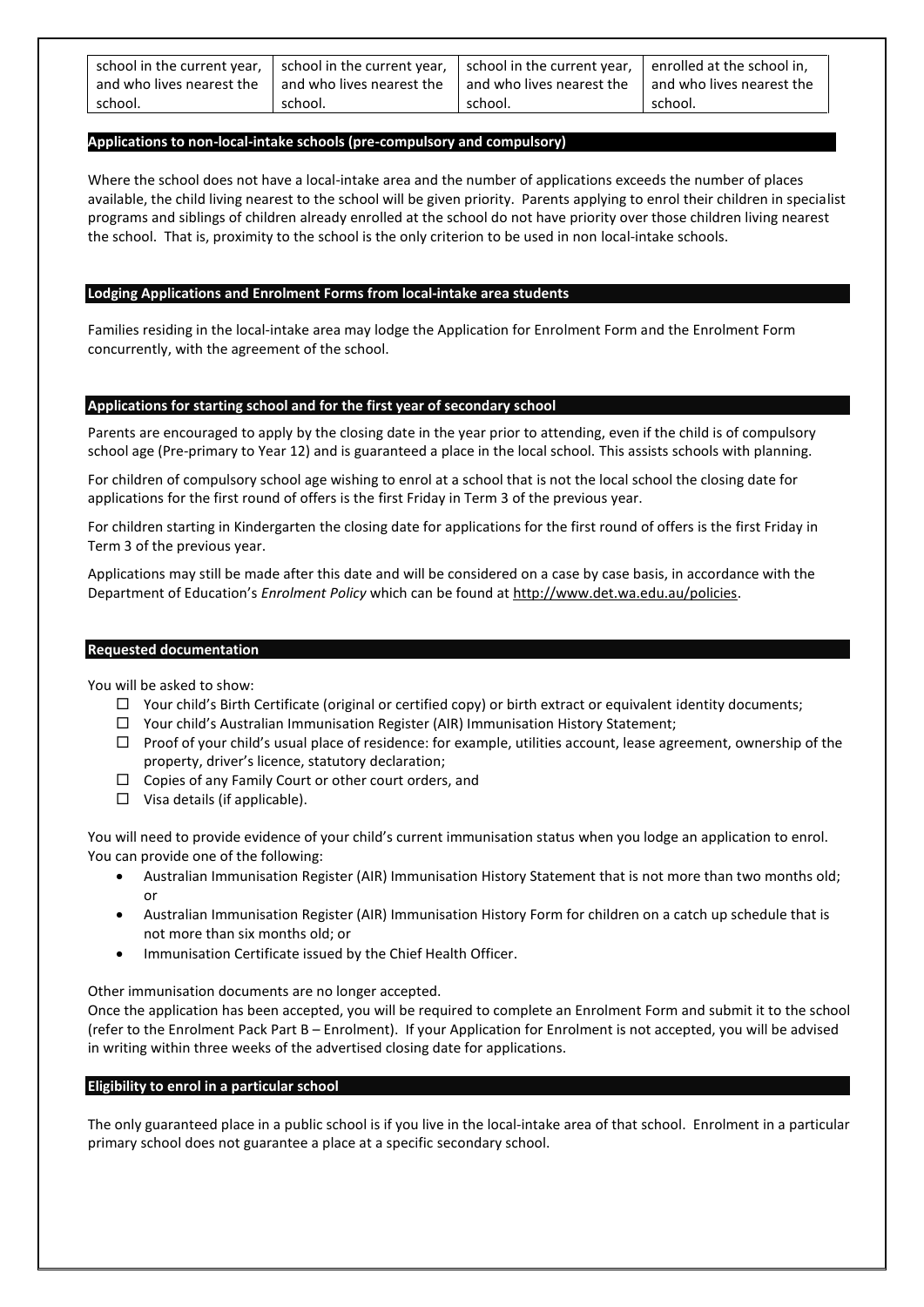| school in the current year, | school in the current year, | school in the current year, I enrolled at the school in, |                             |
|-----------------------------|-----------------------------|----------------------------------------------------------|-----------------------------|
| and who lives nearest the   | and who lives nearest the   | l and who lives nearest the                              | l and who lives nearest the |
| school.                     | school.                     | school.                                                  | school.                     |

#### **Applications to non-local-intake schools (pre-compulsory and compulsory)**

Where the school does not have a local-intake area and the number of applications exceeds the number of places available, the child living nearest to the school will be given priority. Parents applying to enrol their children in specialist programs and siblings of children already enrolled at the school do not have priority over those children living nearest the school. That is, proximity to the school is the only criterion to be used in non local-intake schools.

#### **Lodging Applications and Enrolment Forms from local-intake area students**

Families residing in the local-intake area may lodge the Application for Enrolment Form and the Enrolment Form concurrently, with the agreement of the school.

#### **Applications for starting school and for the first year of secondary school**

Parents are encouraged to apply by the closing date in the year prior to attending, even if the child is of compulsory school age (Pre-primary to Year 12) and is guaranteed a place in the local school. This assists schools with planning.

For children of compulsory school age wishing to enrol at a school that is not the local school the closing date for applications for the first round of offers is the first Friday in Term 3 of the previous year.

For children starting in Kindergarten the closing date for applications for the first round of offers is the first Friday in Term 3 of the previous year.

Applications may still be made after this date and will be considered on a case by case basis, in accordance with the Department of Education's *Enrolment Policy* which can be found a[t http://www.det.wa.edu.au/policies.](http://www.det.wa.edu.au/policies)

#### **Requested documentation**

You will be asked to show:

- $\Box$  Your child's Birth Certificate (original or certified copy) or birth extract or equivalent identity documents;
- $\Box$  Your child's Australian Immunisation Register (AIR) Immunisation History Statement:
- $\Box$  Proof of your child's usual place of residence: for example, utilities account, lease agreement, ownership of the property, driver's licence, statutory declaration;
- $\Box$  Copies of any Family Court or other court orders, and
- $\Box$  Visa details (if applicable).

You will need to provide evidence of your child's current immunisation status when you lodge an application to enrol. You can provide one of the following:

- Australian Immunisation Register (AIR) Immunisation History Statement that is not more than two months old; or
- Australian Immunisation Register (AIR) Immunisation History Form for children on a catch up schedule that is not more than six months old; or
- Immunisation Certificate issued by the Chief Health Officer.

Other immunisation documents are no longer accepted.

Once the application has been accepted, you will be required to complete an Enrolment Form and submit it to the school (refer to the Enrolment Pack Part B – Enrolment). If your Application for Enrolment is not accepted, you will be advised in writing within three weeks of the advertised closing date for applications.

#### **Eligibility to enrol in a particular school**

The only guaranteed place in a public school is if you live in the local-intake area of that school. Enrolment in a particular primary school does not guarantee a place at a specific secondary school.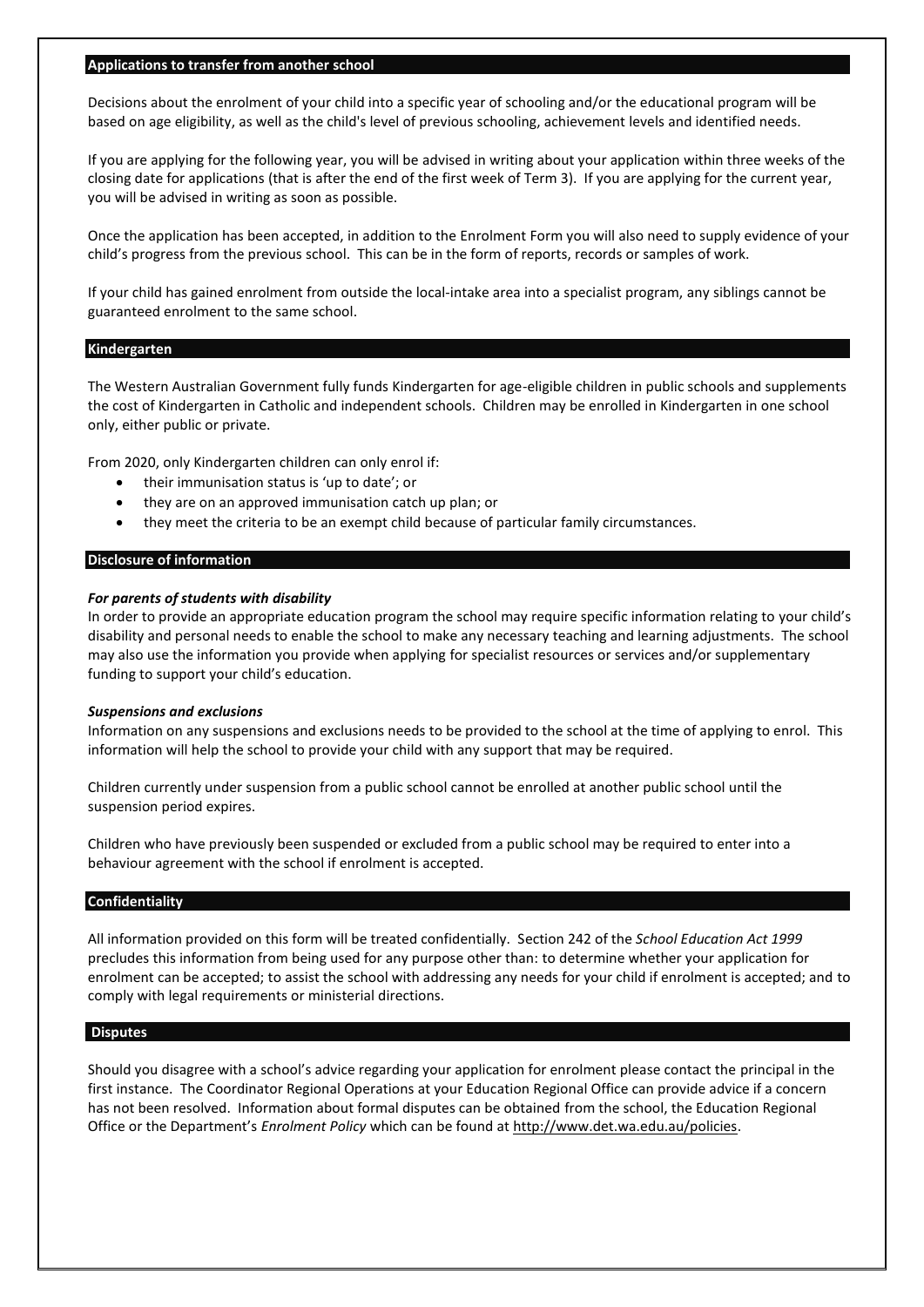#### **Applications to transfer from another school**

Decisions about the enrolment of your child into a specific year of schooling and/or the educational program will be based on age eligibility, as well as the child's level of previous schooling, achievement levels and identified needs.

If you are applying for the following year, you will be advised in writing about your application within three weeks of the closing date for applications (that is after the end of the first week of Term 3). If you are applying for the current year, you will be advised in writing as soon as possible.

Once the application has been accepted, in addition to the Enrolment Form you will also need to supply evidence of your child's progress from the previous school. This can be in the form of reports, records or samples of work.

If your child has gained enrolment from outside the local-intake area into a specialist program, any siblings cannot be guaranteed enrolment to the same school.

#### **Kindergarten**

The Western Australian Government fully funds Kindergarten for age-eligible children in public schools and supplements the cost of Kindergarten in Catholic and independent schools. Children may be enrolled in Kindergarten in one school only, either public or private.

From 2020, only Kindergarten children can only enrol if:

- their immunisation status is 'up to date'; or
- they are on an approved immunisation catch up plan; or
- they meet the criteria to be an exempt child because of particular family circumstances.

#### **Disclosure of information**

#### *For parents of students with disability*

In order to provide an appropriate education program the school may require specific information relating to your child's disability and personal needs to enable the school to make any necessary teaching and learning adjustments. The school may also use the information you provide when applying for specialist resources or services and/or supplementary funding to support your child's education.

#### *Suspensions and exclusions*

Information on any suspensions and exclusions needs to be provided to the school at the time of applying to enrol. This information will help the school to provide your child with any support that may be required.

Children currently under suspension from a public school cannot be enrolled at another public school until the suspension period expires.

Children who have previously been suspended or excluded from a public school may be required to enter into a behaviour agreement with the school if enrolment is accepted.

#### **Confidentiality**

All information provided on this form will be treated confidentially. Section 242 of the *School Education Act 1999* precludes this information from being used for any purpose other than: to determine whether your application for enrolment can be accepted; to assist the school with addressing any needs for your child if enrolment is accepted; and to comply with legal requirements or ministerial directions.

#### **Disputes**

Should you disagree with a school's advice regarding your application for enrolment please contact the principal in the first instance. The Coordinator Regional Operations at your Education Regional Office can provide advice if a concern has not been resolved. Information about formal disputes can be obtained from the school, the Education Regional Office or the Department's *Enrolment Policy* which can be found a[t http://www.det.wa.edu.au/policies.](http://www.det.wa.edu.au/policies)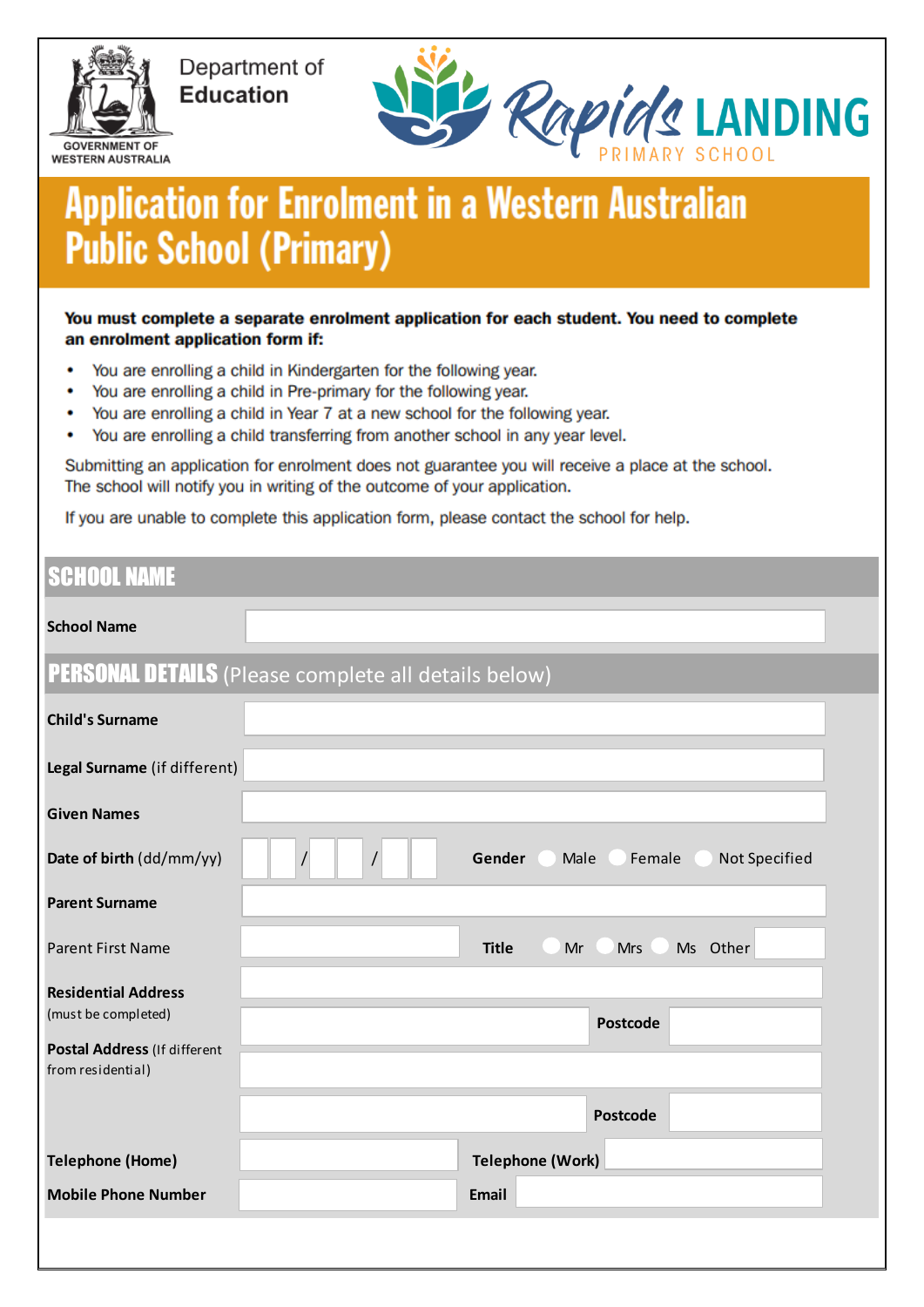

Department of **Education** 



# **Application for Enrolment in a Western Australian Public School (Primary)**

You must complete a separate enrolment application for each student. You need to complete an enrolment application form if:

- You are enrolling a child in Kindergarten for the following year.
- You are enrolling a child in Pre-primary for the following year. ٠
- You are enrolling a child in Year 7 at a new school for the following year.
- ۰ You are enrolling a child transferring from another school in any year level.

Submitting an application for enrolment does not guarantee you will receive a place at the school. The school will notify you in writing of the outcome of your application.

If you are unable to complete this application form, please contact the school for help.

# **SCHOOL NAME**

| <b>School Name</b>                                                                                     |                                                             |
|--------------------------------------------------------------------------------------------------------|-------------------------------------------------------------|
|                                                                                                        | <b>PERSONAL DETAILS</b> (Please complete all details below) |
| <b>Child's Surname</b>                                                                                 |                                                             |
| Legal Surname (if different)                                                                           |                                                             |
| <b>Given Names</b>                                                                                     |                                                             |
| Date of birth (dd/mm/yy)                                                                               | Gender<br>Male<br>Female<br>Not Specified<br>$\prime$       |
| <b>Parent Surname</b>                                                                                  |                                                             |
| <b>Parent First Name</b>                                                                               | <b>Title</b><br>Other<br>Mr<br><b>Mrs</b><br><b>Ms</b>      |
| <b>Residential Address</b><br>(must be completed)<br>Postal Address (If different<br>from residential) | <b>Postcode</b>                                             |
|                                                                                                        | <b>Postcode</b>                                             |
| <b>Telephone (Home)</b>                                                                                | <b>Telephone (Work)</b>                                     |
| <b>Mobile Phone Number</b>                                                                             | Email                                                       |
|                                                                                                        |                                                             |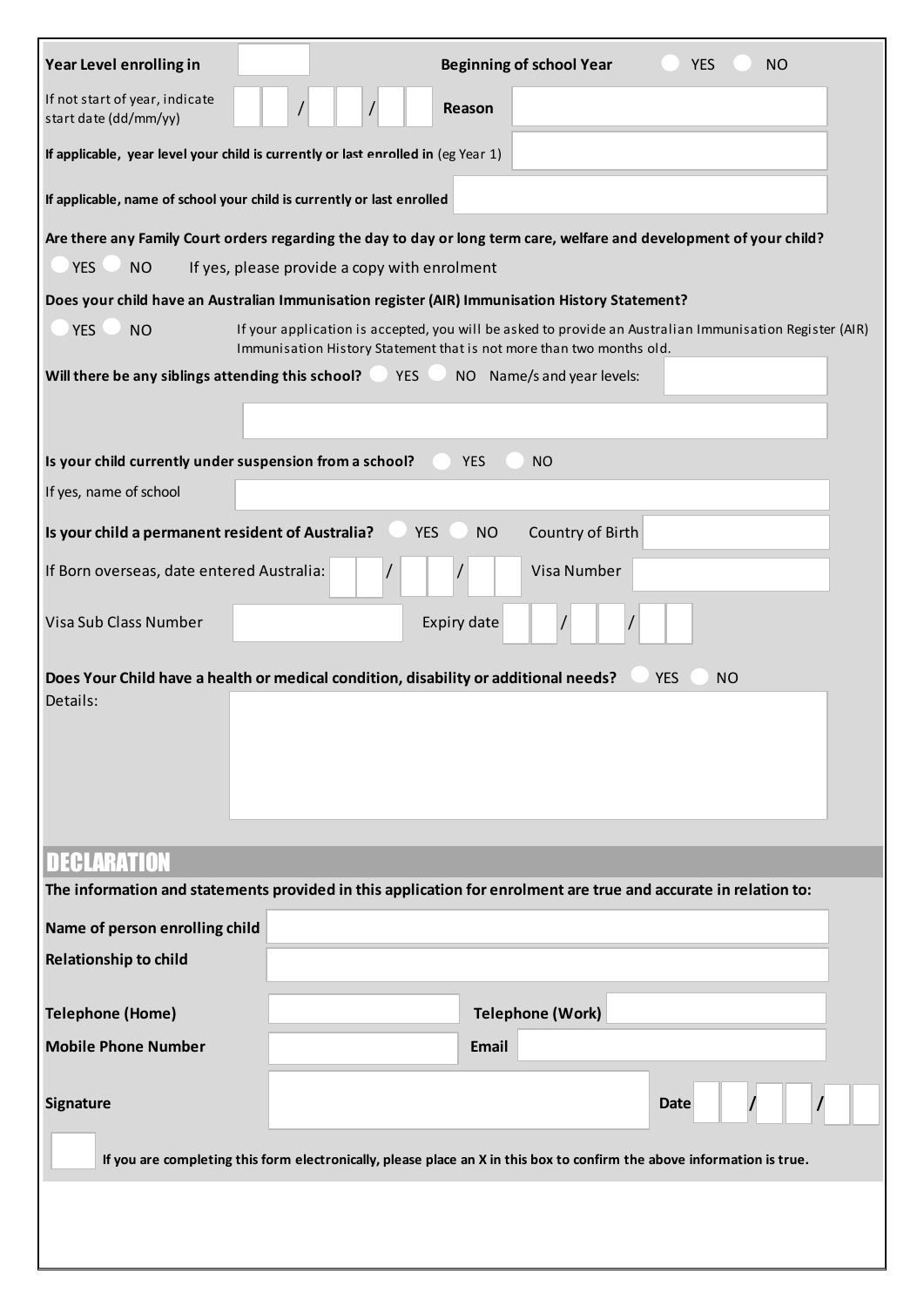| Year Level enrolling in                                                                                              |                                              |                         | <b>Beginning of school Year</b>                                                                                         | <b>YES</b>              | <b>NO</b>                                                                                               |
|----------------------------------------------------------------------------------------------------------------------|----------------------------------------------|-------------------------|-------------------------------------------------------------------------------------------------------------------------|-------------------------|---------------------------------------------------------------------------------------------------------|
| If not start of year, indicate<br>start date (dd/mm/yy)                                                              |                                              | Reason                  |                                                                                                                         |                         |                                                                                                         |
| If applicable, year level your child is currently or last enrolled in (eg Year 1)                                    |                                              |                         |                                                                                                                         |                         |                                                                                                         |
| If applicable, name of school your child is currently or last enrolled                                               |                                              |                         |                                                                                                                         |                         |                                                                                                         |
| Are there any Family Court orders regarding the day to day or long term care, welfare and development of your child? |                                              |                         |                                                                                                                         |                         |                                                                                                         |
| <b>YES</b><br><b>NO</b>                                                                                              | If yes, please provide a copy with enrolment |                         |                                                                                                                         |                         |                                                                                                         |
| Does your child have an Australian Immunisation register (AIR) Immunisation History Statement?                       |                                              |                         |                                                                                                                         |                         |                                                                                                         |
| <b>YES</b><br><b>NO</b>                                                                                              |                                              |                         | Immunisation History Statement that is not more than two months old.                                                    |                         | If your application is accepted, you will be asked to provide an Australian Immunisation Register (AIR) |
| Will there be any siblings attending this school?                                                                    | <b>YES</b>                                   |                         | NO Name/s and year levels:                                                                                              |                         |                                                                                                         |
|                                                                                                                      |                                              |                         |                                                                                                                         |                         |                                                                                                         |
|                                                                                                                      |                                              |                         |                                                                                                                         |                         |                                                                                                         |
| Is your child currently under suspension from a school?                                                              |                                              | <b>YES</b>              | <b>NO</b>                                                                                                               |                         |                                                                                                         |
| If yes, name of school                                                                                               |                                              |                         |                                                                                                                         |                         |                                                                                                         |
| Is your child a permanent resident of Australia?                                                                     |                                              | <b>YES</b><br><b>NO</b> | Country of Birth                                                                                                        |                         |                                                                                                         |
| If Born overseas, date entered Australia:                                                                            |                                              |                         | Visa Number                                                                                                             |                         |                                                                                                         |
| Visa Sub Class Number                                                                                                |                                              | Expiry date             |                                                                                                                         |                         |                                                                                                         |
| Does Your Child have a health or medical condition, disability or additional needs?<br>Details:                      |                                              |                         |                                                                                                                         | <b>YES</b><br><b>NO</b> |                                                                                                         |
| <b>DECLARATION</b>                                                                                                   |                                              |                         |                                                                                                                         |                         |                                                                                                         |
| The information and statements provided in this application for enrolment are true and accurate in relation to:      |                                              |                         |                                                                                                                         |                         |                                                                                                         |
| Name of person enrolling child                                                                                       |                                              |                         |                                                                                                                         |                         |                                                                                                         |
| <b>Relationship to child</b>                                                                                         |                                              |                         |                                                                                                                         |                         |                                                                                                         |
|                                                                                                                      |                                              |                         |                                                                                                                         |                         |                                                                                                         |
| <b>Telephone (Home)</b>                                                                                              |                                              |                         | <b>Telephone (Work)</b>                                                                                                 |                         |                                                                                                         |
| <b>Mobile Phone Number</b>                                                                                           |                                              | Email                   |                                                                                                                         |                         |                                                                                                         |
| Signature                                                                                                            |                                              |                         |                                                                                                                         | <b>Date</b>             |                                                                                                         |
|                                                                                                                      |                                              |                         | If you are completing this form electronically, please place an X in this box to confirm the above information is true. |                         |                                                                                                         |
|                                                                                                                      |                                              |                         |                                                                                                                         |                         |                                                                                                         |
|                                                                                                                      |                                              |                         |                                                                                                                         |                         |                                                                                                         |
|                                                                                                                      |                                              |                         |                                                                                                                         |                         |                                                                                                         |